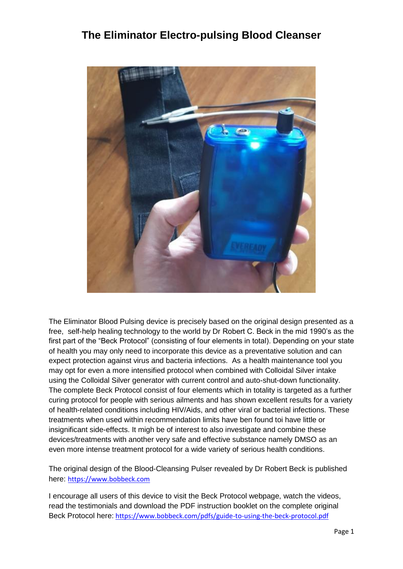## **The Eliminator Electro-pulsing Blood Cleanser**



The Eliminator Blood Pulsing device is precisely based on the original design presented as a free, self-help healing technology to the world by Dr Robert C. Beck in the mid 1990's as the first part of the "Beck Protocol" (consisting of four elements in total). Depending on your state of health you may only need to incorporate this device as a preventative solution and can expect protection against virus and bacteria infections. As a health maintenance tool you may opt for even a more intensified protocol when combined with Colloidal Silver intake using the Colloidal Silver generator with current control and auto-shut-down functionality. The complete Beck Protocol consist of four elements which in totality is targeted as a further curing protocol for people with serious ailments and has shown excellent results for a variety of health-related conditions including HIV/Aids, and other viral or bacterial infections. These treatments when used within recommendation limits have ben found toi have little or insignificant side-effects. It migh be of interest to also investigate and combine these devices/treatments with another very safe and effective substance namely DMSO as an even more intense treatment protocol for a wide variety of serious health conditions.

The original design of the Blood-Cleansing Pulser revealed by Dr Robert Beck is published here: [https://www.bobbeck.com](https://www.bobbeck.com/)

I encourage all users of this device to visit the Beck Protocol webpage, watch the videos, read the testimonials and download the PDF instruction booklet on the complete original Beck Protocol here: <https://www.bobbeck.com/pdfs/guide-to-using-the-beck-protocol.pdf>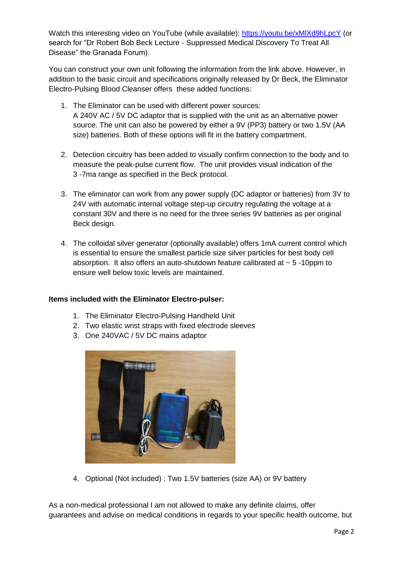Watch this interesting video on YouTube (while available): https://youtu.be/xMIXd9hLpcY (or search for "Dr Robert Bob Beck Lecture - Suppressed Medical Discovery To Treat All Disease" the Granada Forum).

You can construct your own unit following the information from the link above. However, in addition to the basic circuit and specifications originally released by Dr Beck, the Eliminator Electro-Pulsing Blood Cleanser offers these added functions:

- 1. The Eliminator can be used with different power sources: A 240V AC / 5V DC adaptor that is supplied with the unit as an alternative power source. The unit can also be powered by either a 9V (PP3) battery or two 1.5V (AA size) batteries. Both of these options will fit in the battery compartment.
- 2. Detection circuitry has been added to visually confirm connection to the body and to measure the peak-pulse current flow. The unit provides visual indication of the 3 -7ma range as specified in the Beck protocol.
- 3. The eliminator can work from any power supply (DC adaptor or batteries) from 3V to 24V with automatic internal voltage step-up circuitry regulating the voltage at a constant 30V and there is no need for the three series 9V batteries as per original Beck design.
- 4. The colloidal silver generator (optionally available) offers 1mA current control which is essential to ensure the smallest particle size silver particles for best body cell absorption. It also offers an auto-shutdown feature calibrated at  $\sim$  5 -10ppm to ensure well below toxic levels are maintained.

#### **Items included with the Eliminator Electro-pulser:**

- 1. The Eliminator Electro-Pulsing Handheld Unit
- 2. Two elastic wrist straps with fixed electrode sleeves
- 3. One 240VAC / 5V DC mains adaptor



4. Optional (Not included) : Two 1.5V batteries (size AA) or 9V battery

As a non-medical professional I am not allowed to make any definite claims, offer guarantees and advise on medical conditions in regards to your specific health outcome, but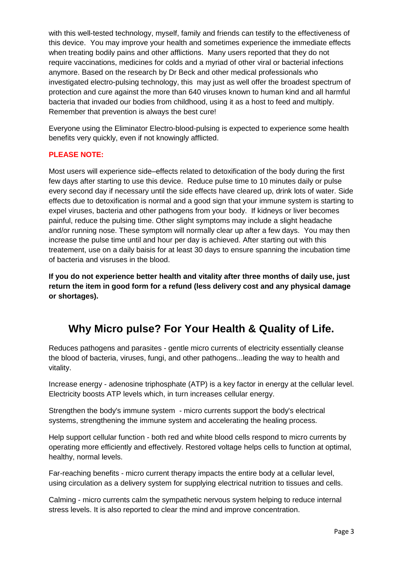with this well-tested technology, myself, family and friends can testify to the effectiveness of this device. You may improve your health and sometimes experience the immediate effects when treating bodily pains and other afflictions. Many users reported that they do not require vaccinations, medicines for colds and a myriad of other viral or bacterial infections anymore. Based on the research by Dr Beck and other medical professionals who investigated electro-pulsing technology, this may just as well offer the broadest spectrum of protection and cure against the more than 640 viruses known to human kind and all harmful bacteria that invaded our bodies from childhood, using it as a host to feed and multiply. Remember that prevention is always the best cure!

Everyone using the Eliminator Electro-blood-pulsing is expected to experience some health benefits very quickly, even if not knowingly afflicted.

#### **PLEASE NOTE:**

Most users will experience side–effects related to detoxification of the body during the first few days after starting to use this device. Reduce pulse time to 10 minutes daily or pulse every second day if necessary until the side effects have cleared up, drink lots of water. Side effects due to detoxification is normal and a good sign that your immune system is starting to expel viruses, bacteria and other pathogens from your body. If kidneys or liver becomes painful, reduce the pulsing time. Other slight symptoms may include a slight headache and/or running nose. These symptom will normally clear up after a few days. You may then increase the pulse time until and hour per day is achieved. After starting out with this treatement, use on a daily baisis for at least 30 days to ensure spanning the incubation time of bacteria and visruses in the blood.

**If you do not experience better health and vitality after three months of daily use, just return the item in good form for a refund (less delivery cost and any physical damage or shortages).**

# **Why Micro pulse? For Your Health & Quality of Life.**

Reduces pathogens and parasites - gentle micro currents of electricity essentially cleanse the blood of bacteria, viruses, fungi, and other pathogens...leading the way to health and vitality.

Increase energy - adenosine triphosphate (ATP) is a key factor in energy at the cellular level. Electricity boosts ATP levels which, in turn increases cellular energy.

Strengthen the body's immune system - micro currents support the body's electrical systems, strengthening the immune system and accelerating the healing process.

Help support cellular function - both red and white blood cells respond to micro currents by operating more efficiently and effectively. Restored voltage helps cells to function at optimal, healthy, normal levels.

Far-reaching benefits - micro current therapy impacts the entire body at a cellular level, using circulation as a delivery system for supplying electrical nutrition to tissues and cells.

Calming - micro currents calm the sympathetic nervous system helping to reduce internal stress levels. It is also reported to clear the mind and improve concentration.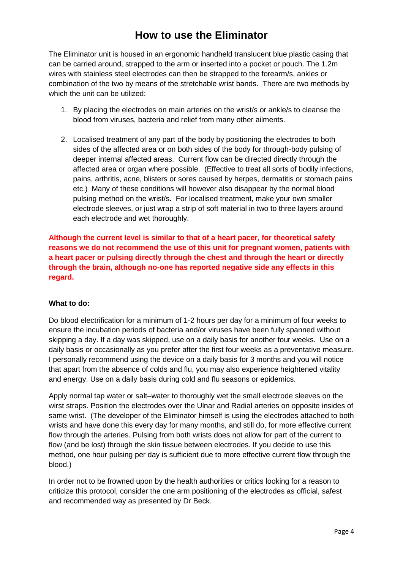### **How to use the Eliminator**

The Eliminator unit is housed in an ergonomic handheld translucent blue plastic casing that can be carried around, strapped to the arm or inserted into a pocket or pouch. The 1.2m wires with stainless steel electrodes can then be strapped to the forearm/s, ankles or combination of the two by means of the stretchable wrist bands. There are two methods by which the unit can be utilized:

- 1. By placing the electrodes on main arteries on the wrist/s or ankle/s to cleanse the blood from viruses, bacteria and relief from many other ailments.
- 2. Localised treatment of any part of the body by positioning the electrodes to both sides of the affected area or on both sides of the body for through-body pulsing of deeper internal affected areas. Current flow can be directed directly through the affected area or organ where possible. (Effective to treat all sorts of bodily infections, pains, arthritis, acne, blisters or sores caused by herpes, dermatitis or stomach pains etc.) Many of these conditions will however also disappear by the normal blood pulsing method on the wrist/s. For localised treatment, make your own smaller electrode sleeves, or just wrap a strip of soft material in two to three layers around each electrode and wet thoroughly.

**Although the current level is similar to that of a heart pacer, for theoretical safety reasons we do not recommend the use of this unit for pregnant women, patients with a heart pacer or pulsing directly through the chest and through the heart or directly through the brain, although no-one has reported negative side any effects in this regard.**

#### **What to do:**

Do blood electrification for a minimum of 1-2 hours per day for a minimum of four weeks to ensure the incubation periods of bacteria and/or viruses have been fully spanned without skipping a day. If a day was skipped, use on a daily basis for another four weeks. Use on a daily basis or occasionally as you prefer after the first four weeks as a preventative measure. I personally recommend using the device on a daily basis for 3 months and you will notice that apart from the absence of colds and flu, you may also experience heightened vitality and energy. Use on a daily basis during cold and flu seasons or epidemics.

Apply normal tap water or salt–water to thoroughly wet the small electrode sleeves on the wirst straps. Position the electrodes over the Ulnar and Radial arteries on opposite insides of same wrist. (The developer of the Eliminator himself is using the electrodes attached to both wrists and have done this every day for many months, and still do, for more effective current flow through the arteries. Pulsing from both wrists does not allow for part of the current to flow (and be lost) through the skin tissue between electrodes. If you decide to use this method, one hour pulsing per day is sufficient due to more effective current flow through the blood.)

In order not to be frowned upon by the health authorities or critics looking for a reason to criticize this protocol, consider the one arm positioning of the electrodes as official, safest and recommended way as presented by Dr Beck.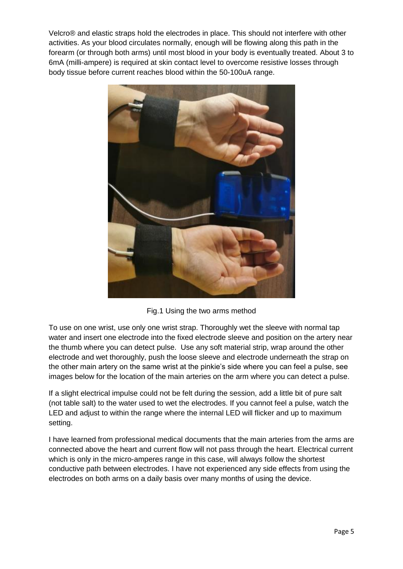Velcro® and elastic straps hold the electrodes in place. This should not interfere with other activities. As your blood circulates normally, enough will be flowing along this path in the forearm (or through both arms) until most blood in your body is eventually treated. About 3 to 6mA (milli-ampere) is required at skin contact level to overcome resistive losses through body tissue before current reaches blood within the 50-100uA range.



Fig.1 Using the two arms method

To use on one wrist, use only one wrist strap. Thoroughly wet the sleeve with normal tap water and insert one electrode into the fixed electrode sleeve and position on the artery near the thumb where you can detect pulse. Use any soft material strip, wrap around the other electrode and wet thoroughly, push the loose sleeve and electrode underneath the strap on the other main artery on the same wrist at the pinkie's side where you can feel a pulse, see images below for the location of the main arteries on the arm where you can detect a pulse.

If a slight electrical impulse could not be felt during the session, add a little bit of pure salt (not table salt) to the water used to wet the electrodes. If you cannot feel a pulse, watch the LED and adjust to within the range where the internal LED will flicker and up to maximum setting.

I have learned from professional medical documents that the main arteries from the arms are connected above the heart and current flow will not pass through the heart. Electrical current which is only in the micro-amperes range in this case, will always follow the shortest conductive path between electrodes. I have not experienced any side effects from using the electrodes on both arms on a daily basis over many months of using the device.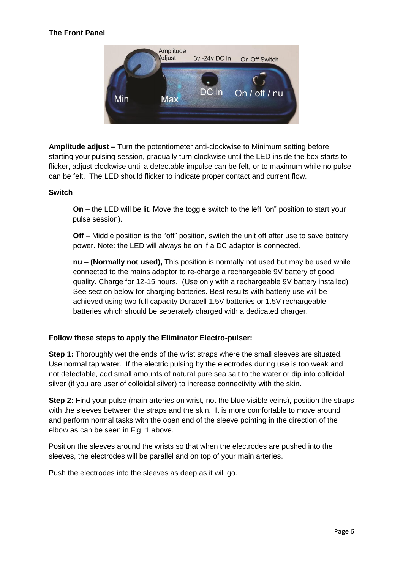#### **The Front Panel**



**Amplitude adjust –** Turn the potentiometer anti-clockwise to Minimum setting before starting your pulsing session, gradually turn clockwise until the LED inside the box starts to flicker, adjust clockwise until a detectable impulse can be felt, or to maximum while no pulse can be felt. The LED should flicker to indicate proper contact and current flow.

#### **Switch**

**On** – the LED will be lit. Move the toggle switch to the left "on" position to start your pulse session).

**Off** – Middle position is the "off" position, switch the unit off after use to save battery power. Note: the LED will always be on if a DC adaptor is connected.

**nu – (Normally not used),** This position is normally not used but may be used while connected to the mains adaptor to re-charge a rechargeable 9V battery of good quality. Charge for 12-15 hours. (Use only with a rechargeable 9V battery installed) See section below for charging batteries. Best results with batteriy use will be achieved using two full capacity Duracell 1.5V batteries or 1.5V rechargeable batteries which should be seperately charged with a dedicated charger.

#### **Follow these steps to apply the Eliminator Electro-pulser:**

**Step 1:** Thoroughly wet the ends of the wrist straps where the small sleeves are situated. Use normal tap water. If the electric pulsing by the electrodes during use is too weak and not detectable, add small amounts of natural pure sea salt to the water or dip into colloidal silver (if you are user of colloidal silver) to increase connectivity with the skin.

**Step 2:** Find your pulse (main arteries on wrist, not the blue visible veins), position the straps with the sleeves between the straps and the skin. It is more comfortable to move around and perform normal tasks with the open end of the sleeve pointing in the direction of the elbow as can be seen in Fig. 1 above.

Position the sleeves around the wrists so that when the electrodes are pushed into the sleeves, the electrodes will be parallel and on top of your main arteries.

Push the electrodes into the sleeves as deep as it will go.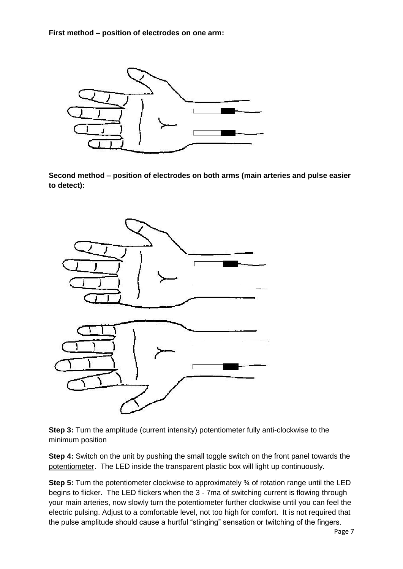**First method – position of electrodes on one arm:**



**Second method – position of electrodes on both arms (main arteries and pulse easier to detect):**



**Step 3:** Turn the amplitude (current intensity) potentiometer fully anti-clockwise to the minimum position

**Step 4:** Switch on the unit by pushing the small toggle switch on the front panel towards the potentiometer. The LED inside the transparent plastic box will light up continuously.

**Step 5:** Turn the potentiometer clockwise to approximately % of rotation range until the LED begins to flicker. The LED flickers when the 3 - 7ma of switching current is flowing through your main arteries, now slowly turn the potentiometer further clockwise until you can feel the electric pulsing. Adjust to a comfortable level, not too high for comfort. It is not required that the pulse amplitude should cause a hurtful "stinging" sensation or twitching of the fingers.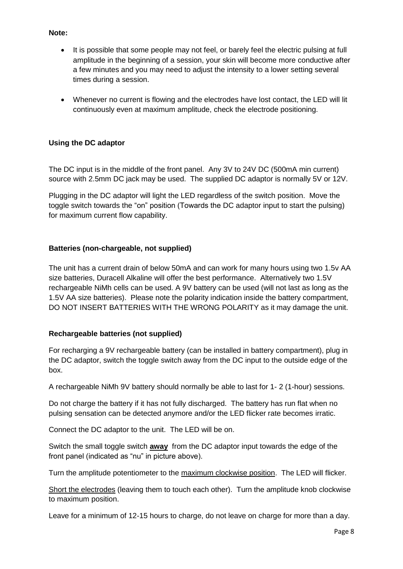#### **Note:**

- It is possible that some people may not feel, or barely feel the electric pulsing at full amplitude in the beginning of a session, your skin will become more conductive after a few minutes and you may need to adjust the intensity to a lower setting several times during a session.
- Whenever no current is flowing and the electrodes have lost contact, the LED will lit continuously even at maximum amplitude, check the electrode positioning.

#### **Using the DC adaptor**

The DC input is in the middle of the front panel. Any 3V to 24V DC (500mA min current) source with 2.5mm DC jack may be used. The supplied DC adaptor is normally 5V or 12V.

Plugging in the DC adaptor will light the LED regardless of the switch position. Move the toggle switch towards the "on" position (Towards the DC adaptor input to start the pulsing) for maximum current flow capability.

#### **Batteries (non-chargeable, not supplied)**

The unit has a current drain of below 50mA and can work for many hours using two 1.5v AA size batteries, Duracell Alkaline will offer the best performance. Alternatively two 1.5V rechargeable NiMh cells can be used. A 9V battery can be used (will not last as long as the 1.5V AA size batteries). Please note the polarity indication inside the battery compartment, DO NOT INSERT BATTERIES WITH THE WRONG POLARITY as it may damage the unit.

#### **Rechargeable batteries (not supplied)**

For recharging a 9V rechargeable battery (can be installed in battery compartment), plug in the DC adaptor, switch the toggle switch away from the DC input to the outside edge of the box.

A rechargeable NiMh 9V battery should normally be able to last for 1- 2 (1-hour) sessions.

Do not charge the battery if it has not fully discharged. The battery has run flat when no pulsing sensation can be detected anymore and/or the LED flicker rate becomes irratic.

Connect the DC adaptor to the unit. The LED will be on.

Switch the small toggle switch **away** from the DC adaptor input towards the edge of the front panel (indicated as "nu" in picture above).

Turn the amplitude potentiometer to the maximum clockwise position. The LED will flicker.

Short the electrodes (leaving them to touch each other). Turn the amplitude knob clockwise to maximum position.

Leave for a minimum of 12-15 hours to charge, do not leave on charge for more than a day.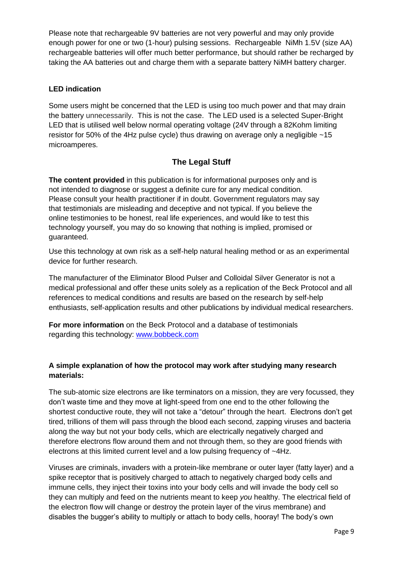Please note that rechargeable 9V batteries are not very powerful and may only provide enough power for one or two (1-hour) pulsing sessions. Rechargeable NiMh 1.5V (size AA) rechargeable batteries will offer much better performance, but should rather be recharged by taking the AA batteries out and charge them with a separate battery NiMH battery charger.

#### **LED indication**

Some users might be concerned that the LED is using too much power and that may drain the battery unnecessarily. This is not the case. The LED used is a selected Super-Bright LED that is utilised well below normal operating voltage (24V through a 82Kohm limiting resistor for 50% of the 4Hz pulse cycle) thus drawing on average only a negligible ~15 microamperes.

### **The Legal Stuff**

**The content provided** in this publication is for informational purposes only and is not intended to diagnose or suggest a definite cure for any medical condition. Please consult your health practitioner if in doubt. Government regulators may say that testimonials are misleading and deceptive and not typical. If you believe the online testimonies to be honest, real life experiences, and would like to test this technology yourself, you may do so knowing that nothing is implied, promised or guaranteed.

Use this technology at own risk as a self-help natural healing method or as an experimental device for further research.

The manufacturer of the Eliminator Blood Pulser and Colloidal Silver Generator is not a medical professional and offer these units solely as a replication of the Beck Protocol and all references to medical conditions and results are based on the research by self-help enthusiasts, self-application results and other publications by individual medical researchers.

**For more information** on the Beck Protocol and a database of testimonials regarding this technology: [www.bobbeck.com](http://www.bobbeck.com/)

#### **A simple explanation of how the protocol may work after studying many research materials:**

The sub-atomic size electrons are like terminators on a mission, they are very focussed, they don't waste time and they move at light-speed from one end to the other following the shortest conductive route, they will not take a "detour" through the heart. Electrons don't get tired, trillions of them will pass through the blood each second, zapping viruses and bacteria along the way but not your body cells, which are electrically negatively charged and therefore electrons flow around them and not through them, so they are good friends with electrons at this limited current level and a low pulsing frequency of ~4Hz.

Viruses are criminals, invaders with a protein-like membrane or outer layer (fatty layer) and a spike receptor that is positively charged to attach to negatively charged body cells and immune cells, they inject their toxins into your body cells and will invade the body cell so they can multiply and feed on the nutrients meant to keep *you* healthy. The electrical field of the electron flow will change or destroy the protein layer of the virus membrane) and disables the bugger's ability to multiply or attach to body cells, hooray! The body's own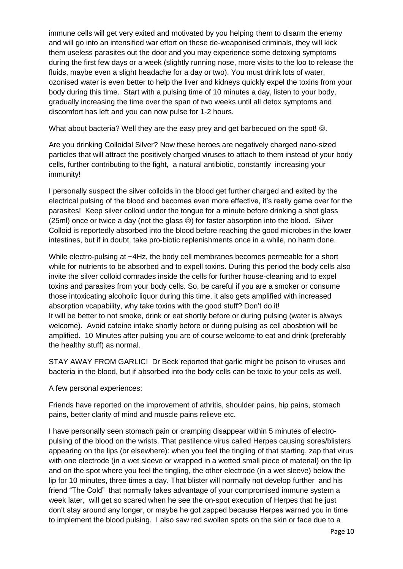immune cells will get very exited and motivated by you helping them to disarm the enemy and will go into an intensified war effort on these de-weaponised criminals, they will kick them useless parasites out the door and you may experience some detoxing symptoms during the first few days or a week (slightly running nose, more visits to the loo to release the fluids, maybe even a slight headache for a day or two). You must drink lots of water, ozonised water is even better to help the liver and kidneys quickly expel the toxins from your body during this time. Start with a pulsing time of 10 minutes a day, listen to your body, gradually increasing the time over the span of two weeks until all detox symptoms and discomfort has left and you can now pulse for 1-2 hours.

What about bacteria? Well they are the easy prey and get barbecued on the spot!  $\odot$ .

Are you drinking Colloidal Silver? Now these heroes are negatively charged nano-sized particles that will attract the positively charged viruses to attach to them instead of your body cells, further contributing to the fight, a natural antibiotic, constantly increasing your immunity!

I personally suspect the silver colloids in the blood get further charged and exited by the electrical pulsing of the blood and becomes even more effective, it's really game over for the parasites! Keep silver colloid under the tongue for a minute before drinking a shot glass (25ml) once or twice a day (not the glass  $\circledcirc$ ) for faster absorption into the blood. Silver Colloid is reportedly absorbed into the blood before reaching the good microbes in the lower intestines, but if in doubt, take pro-biotic replenishments once in a while, no harm done.

While electro-pulsing at ~4Hz, the body cell membranes becomes permeable for a short while for nutrients to be absorbed and to expell toxins. During this period the body cells also invite the silver colloid comrades inside the cells for further house-cleaning and to expel toxins and parasites from your body cells. So, be careful if you are a smoker or consume those intoxicating alcoholic liquor during this time, it also gets amplified with increased absorption vcapability, why take toxins with the good stuff? Don't do it! It will be better to not smoke, drink or eat shortly before or during pulsing (water is always welcome). Avoid cafeine intake shortly before or during pulsing as cell abosbtion will be amplified. 10 Minutes after pulsing you are of course welcome to eat and drink (preferably the healthy stuff) as normal.

STAY AWAY FROM GARLIC! Dr Beck reported that garlic might be poison to viruses and bacteria in the blood, but if absorbed into the body cells can be toxic to your cells as well.

A few personal experiences:

Friends have reported on the improvement of athritis, shoulder pains, hip pains, stomach pains, better clarity of mind and muscle pains relieve etc.

I have personally seen stomach pain or cramping disappear within 5 minutes of electropulsing of the blood on the wrists. That pestilence virus called Herpes causing sores/blisters appearing on the lips (or elsewhere): when you feel the tingling of that starting, zap that virus with one electrode (in a wet sleeve or wrapped in a wetted small piece of material) on the lip and on the spot where you feel the tingling, the other electrode (in a wet sleeve) below the lip for 10 minutes, three times a day. That blister will normally not develop further and his friend "The Cold" that normally takes advantage of your compromised immune system a week later, will get so scared when he see the on-spot execution of Herpes that he just don't stay around any longer, or maybe he got zapped because Herpes warned you in time to implement the blood pulsing. I also saw red swollen spots on the skin or face due to a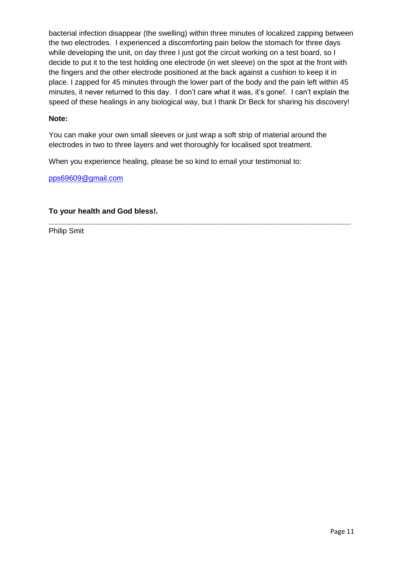bacterial infection disappear (the swelling) within three minutes of localized zapping between the two electrodes. I experienced a discomforting pain below the stomach for three days while developing the unit, on day three I just got the circuit working on a test board, so I decide to put it to the test holding one electrode (in wet sleeve) on the spot at the front with the fingers and the other electrode positioned at the back against a cushion to keep it in place. I zapped for 45 minutes through the lower part of the body and the pain left within 45 minutes, it never returned to this day. I don't care what it was, it's gone!. I can't explain the speed of these healings in any biological way, but I thank Dr Beck for sharing his discovery!

#### **Note:**

You can make your own small sleeves or just wrap a soft strip of material around the electrodes in two to three layers and wet thoroughly for localised spot treatment.

**\_\_\_\_\_\_\_\_\_\_\_\_\_\_\_\_\_\_\_\_\_\_\_\_\_\_\_\_\_\_\_\_\_\_\_\_\_\_\_\_\_\_\_\_\_\_\_\_\_\_\_\_\_\_\_\_\_\_\_\_\_\_\_\_\_\_\_\_\_\_\_\_\_**

When you experience healing, please be so kind to email your testimonial to:

[pps69609@gmail.com](mailto:j5_immortal@yahoo.com)

#### **To your health and God bless!.**

Philip Smit